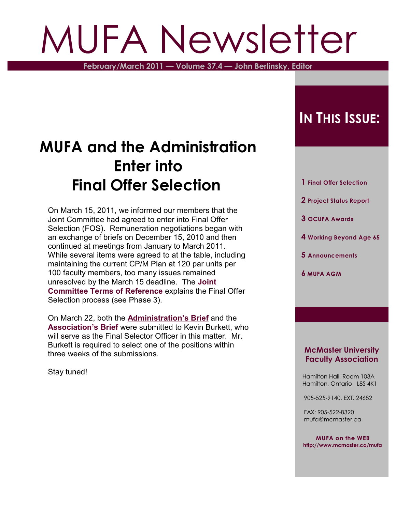# MUFA Newsletter

**February/March 2011 — Volume 37.4 — John Berlinsky, Editor**

### **MUFA and the Administration Enter into Final Offer Selection**

On March 15, 2011, we informed our members that the Joint Committee had agreed to enter into Final Offer Selection (FOS). Remuneration negotiations began with an exchange of briefs on December 15, 2010 and then continued at meetings from January to March 2011. While several items were agreed to at the table, including maintaining the current CP/M Plan at 120 par units per 100 faculty members, too many issues remained unresolved by the March 15 deadline. The **[Joint](http://www.mcmaster.ca/mufa/Joint%20Committee/JCTerms.pdf) [Committee Terms of Reference](http://www.mcmaster.ca/mufa/Joint%20Committee/JCTerms.pdf)** explains the Final Offer Selection process (see Phase 3).

On March 22, both the **[Administration's Brief](http://www.mcmaster.ca/mufa/AdminFOSMarch2011OCR.pdf)** and the **[Association's Brief](http://www.mcmaster.ca/mufa/MUFAfosMarch2011.pdf)** were submitted to Kevin Burkett, who will serve as the Final Selector Officer in this matter. Mr. Burkett is required to select one of the positions within three weeks of the submissions.

Stay tuned!

### **IN THIS ISSUE:**

- **1 Final Offer Selection**
- **2 Project Status Report**
- **3 OCUFA Awards**
- **4 Working Beyond Age 65**
- **5 Announcements**
- **6 MUFA AGM**

#### **McMaster University Faculty Association**

 Hamilton Hall, Room 103A Hamilton, Ontario L8S 4K1

905-525-9140, EXT. 24682

 FAX: 905-522-8320 mufa@mcmaster.ca

**MUFA on the WEB <http://www.mcmaster.ca/mufa>**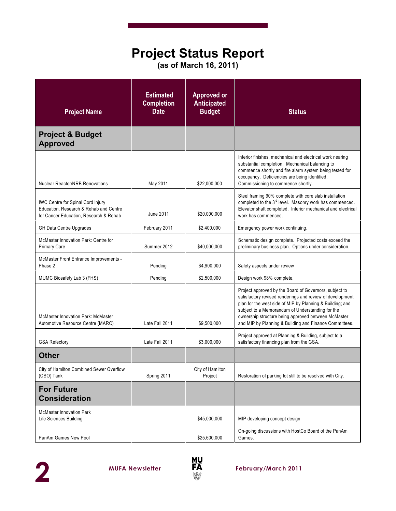### **Project Status Report**

**(as of March 16, 2011)**

| <b>Project Name</b>                                                                                                          | <b>Estimated</b><br><b>Completion</b><br><b>Date</b> | <b>Approved or</b><br><b>Anticipated</b><br><b>Budget</b> | <b>Status</b>                                                                                                                                                                                                                                                                                                                                         |
|------------------------------------------------------------------------------------------------------------------------------|------------------------------------------------------|-----------------------------------------------------------|-------------------------------------------------------------------------------------------------------------------------------------------------------------------------------------------------------------------------------------------------------------------------------------------------------------------------------------------------------|
| <b>Project &amp; Budget</b><br><b>Approved</b>                                                                               |                                                      |                                                           |                                                                                                                                                                                                                                                                                                                                                       |
| <b>Nuclear Reactor/NRB Renovations</b>                                                                                       | May 2011                                             | \$22,000,000                                              | Interior finishes, mechanical and electrical work nearing<br>substantial completion. Mechanical balancing to<br>commence shortly and fire alarm system being tested for<br>occupancy. Deficiencies are being identified.<br>Commissioning to commence shortly.                                                                                        |
| <b>IWC Centre for Spinal Cord Injury</b><br>Education, Research & Rehab and Centre<br>for Cancer Education, Research & Rehab | June 2011                                            | \$20,000,000                                              | Steel framing 90% complete with core slab installation<br>completed to the 3 <sup>rd</sup> level. Masonry work has commenced.<br>Elevator shaft completed. Interior mechanical and electrical<br>work has commenced.                                                                                                                                  |
| GH Data Centre Upgrades                                                                                                      | February 2011                                        | \$2,400,000                                               | Emergency power work continuing.                                                                                                                                                                                                                                                                                                                      |
| McMaster Innovation Park: Centre for<br><b>Primary Care</b>                                                                  | Summer 2012                                          | \$40,000,000                                              | Schematic design complete. Projected costs exceed the<br>preliminary business plan. Options under consideration.                                                                                                                                                                                                                                      |
| McMaster Front Entrance Improvements -<br>Phase 2                                                                            | Pending                                              | \$4,900,000                                               | Safety aspects under review                                                                                                                                                                                                                                                                                                                           |
| MUMC Biosafety Lab 3 (FHS)                                                                                                   | Pending                                              | \$2,500,000                                               | Design work 98% complete.                                                                                                                                                                                                                                                                                                                             |
| <b>McMaster Innovation Park: McMaster</b><br>Automotive Resource Centre (MARC)                                               | Late Fall 2011                                       | \$9,500,000                                               | Project approved by the Board of Governors, subject to<br>satisfactory revised renderings and review of development<br>plan for the west side of MIP by Planning & Building; and<br>subject to a Memorandum of Understanding for the<br>ownership structure being approved between McMaster<br>and MIP by Planning & Building and Finance Committees. |
| <b>GSA Refectory</b>                                                                                                         | Late Fall 2011                                       | \$3,000,000                                               | Project approved at Planning & Building, subject to a<br>satisfactory financing plan from the GSA.                                                                                                                                                                                                                                                    |
| <b>Other</b>                                                                                                                 |                                                      |                                                           |                                                                                                                                                                                                                                                                                                                                                       |
| City of Hamilton Combined Sewer Overflow<br>(CSO) Tank                                                                       | Spring 2011                                          | City of Hamilton<br>Project                               | Restoration of parking lot still to be resolved with City.                                                                                                                                                                                                                                                                                            |
| <b>For Future</b><br><b>Consideration</b>                                                                                    |                                                      |                                                           |                                                                                                                                                                                                                                                                                                                                                       |
| <b>McMaster Innovation Park</b><br>Life Sciences Building                                                                    |                                                      | \$45,000,000                                              | MIP developing concept design                                                                                                                                                                                                                                                                                                                         |
| PanAm Games New Pool                                                                                                         |                                                      | \$25,600,000                                              | On-going discussions with HostCo Board of the PanAm<br>Games.                                                                                                                                                                                                                                                                                         |

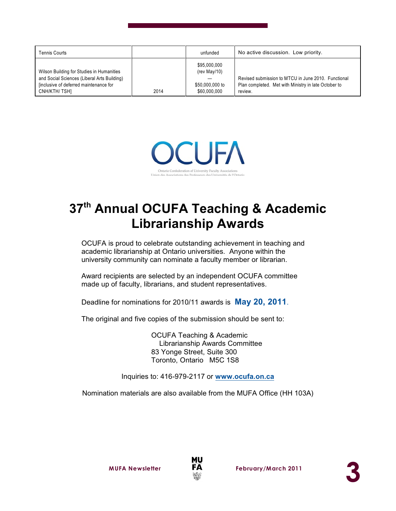| <b>Tennis Courts</b>                                                                                                                                |      | unfunded                                                        | No active discussion. Low priority.                                                                                    |
|-----------------------------------------------------------------------------------------------------------------------------------------------------|------|-----------------------------------------------------------------|------------------------------------------------------------------------------------------------------------------------|
| Wilson Building for Studies in Humanities<br>and Social Sciences (Liberal Arts Building)<br>finclusive of deferred maintenance for<br>CNH/KTH/ TSH] | 2014 | \$95,000,000<br>(rev May/10)<br>\$50,000,000 to<br>\$60,000,000 | Revised submission to MTCU in June 2010. Functional<br>Plan completed. Met with Ministry in late October to<br>review. |



### **37<sup>th</sup> Annual OCUFA Teaching & Academic Librarianship Awards**

OCUFA is proud to celebrate outstanding achievement in teaching and academic librarianship at Ontario universities. Anyone within the university community can nominate a faculty member or librarian.

Award recipients are selected by an independent OCUFA committee made up of faculty, librarians, and student representatives.

Deadline for nominations for 2010/11 awards is **May 20, 2011**.

The original and five copies of the submission should be sent to:

OCUFA Teaching & Academic Librarianship Awards Committee 83 Yonge Street, Suite 300 Toronto, Ontario M5C 1S8

Inquiries to: 416-979-2117 or **[www.ocufa.on.ca](http://www.ocufa.on.ca)**

Nomination materials are also available from the MUFA Office (HH 103A)

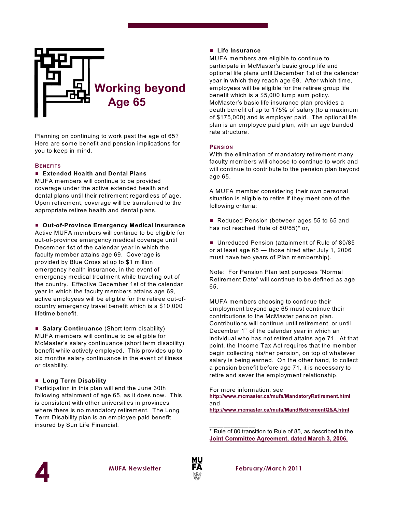

Planning on continuing to work past the age of 65? Here are some benefit and pension implications for you to keep in mind.

#### **BENEFITS**

#### # **Extended Health and Dental Plans**

MUFA members will continue to be provided coverage under the active extended health and dental plans until their retirement regardless of age. Upon retirement, coverage will be transferred to the appropriate retiree health and dental plans.

#### # **Out-of-Province Emergency Medical Insurance**

Active MUFA members will continue to be eligible for out-of-province emergency medical coverage until December 1st of the calendar year in which the faculty member attains age 69. Coverage is provided by Blue Cross at up to \$1 million emergency health insurance, in the event of emergency medical treatment while traveling out of the country. Effective December 1st of the calendar year in which the faculty members attains age 69, active employees will be eligible for the retiree out-ofcountry emergency travel benefit which is a \$10,000 lifetime benefit.

■ **Salary Continuance** (Short term disability) MUFA members will continue to be eligible for McMaster's salary continuance (short term disability) benefit while actively employed. This provides up to six months salary continuance in the event of illness or disability.

#### # **Long Term Disability**

Participation in this plan will end the June 30th following attainment of age 65, as it does now. This is consistent with other universities in provinces where there is no mandatory retirement. The Long Term Disability plan is an employee paid benefit insured by Sun Life Financial.

#### # **Life Insurance**

MUFA members are eligible to continue to participate in McMaster's basic group life and optional life plans until December 1st of the calendar year in which they reach age 69. After which time, employees will be eligible for the retiree group life benefit which is a \$5,000 lump sum policy. McMaster's basic life insurance plan provides a death benefit of up to 175% of salary (to a maximum of \$175,000) and is employer paid. The optional life plan is an employee paid plan, with an age banded rate structure.

#### **PENSION**

W ith the elimination of mandatory retirement many faculty members will choose to continue to work and will continue to contribute to the pension plan beyond age 65.

A MUFA member considering their own personal situation is eligible to retire if they meet one of the following criteria:

Reduced Pension (between ages 55 to 65 and has not reached Rule of 80/85)\* or,

**Unreduced Pension (attainment of Rule of 80/85** or at least age 65 — those hired after July 1, 2006 must have two years of Plan membership).

Note: For Pension Plan text purposes "Normal Retirement Date" will continue to be defined as age 65.

MUFA members choosing to continue their employment beyond age 65 must continue their contributions to the McMaster pension plan. Contributions will continue until retirement, or until December 1<sup>st</sup> of the calendar year in which an individual who has not retired attains age 71. At that point, the Income Tax Act requires that the member begin collecting his/her pension, on top of whatever salary is being earned. On the other hand, to collect a pension benefit before age 71, it is necessary to retire and sever the employment relationship.

For more information, see **<http://www.mcmaster.ca/mufa/MandatoryRetirement.html>** and **<http://www.mcmaster.ca/mufa/MandRetirementQ&A.html>**

\* Rule of 80 transition to Rule of 85, as described in the **[Joint Committee Agreement, dated March 3, 2006.](http://www.mcmaster.ca/mufa/jcagreement2006-march3.html)**





\_\_\_\_\_\_\_\_\_\_\_\_\_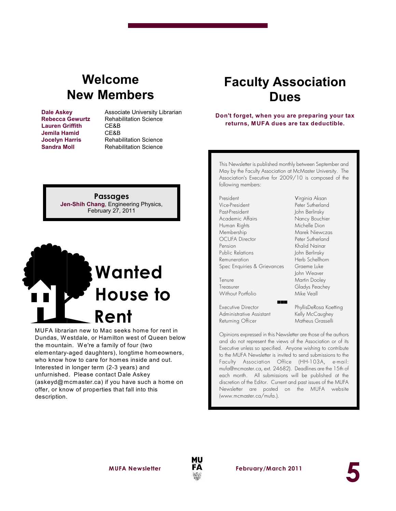### **Welcome New Members**

 **Lauren Griffith** CE&B **Jemila Hamid** CE&B

**Dale Askey Associate University Librarian Rebecca Gewurtz** Rehabilitation Science **Jocelyn Harris** Rehabilitation Science<br> **Sandra Moll** Rehabilitation Science **Rehabilitation Science** 

> **Passages Jen-Shih Chang**, Engineering Physics, February 27, 2011

## **Wanted House to Rent**

MUFA librarian new to Mac seeks home for rent in Dundas, Westdale, or Hamilton west of Queen below the mountain. W e're a family of four (two elementary-aged daughters), longtime homeowners, who know how to care for homes inside and out. Interested in longer term (2-3 years) and unfurnished. Please contact Dale Askey (askeyd@mcmaster.ca) if you have such a home on offer, or know of properties that fall into this description.

### **Faculty Association Dues**

#### **Don't forget, when you are preparing your tax returns, MUFA dues are tax deductible.**

This Newsletter is published monthly between September and May by the Faculty Association at McMaster University. The Association's Executive for 2009/10 is composed of the following members:

President Virginia Aksan Vice-President Peter Sutherland Past-President John Berlinsky Academic Affairs Nancy Bouchier Human Rights Michelle Dion Membership Marek Niewczas OCUFA Director Peter Sutherland Pension Khalid Nainar Public Relations **John Berlinsky** Remuneration Herb Schellhorn Spec Enquiries & Grievances Graeme Luke

Without Portfolio Mike Veall

Executive Director PhyllisDeRosa Koetting Administrative Assistant Kelly McCaughey Returning Officer Matheus Grasselli

John Weaver Tenure Martin Dooley Treasurer Gladys Peachey

**5**

Opinions expressed in this Newsletter are those of the authors and do not represent the views of the Association or of its Executive unless so specified. Anyone wishing to contribute to the MUFA *Newsletter* is invited to send submissions to the Faculty Association Office (HH-103A, e-mail: mufa@mcmaster.ca, ext. 24682). Deadlines are the 15th of each month. All submissions will be published at the discretion of the Editor. Current and past issues of the MUFA *Newsletter* are posted on the MUFA website (www.mcmaster.ca/mufa.).

(((